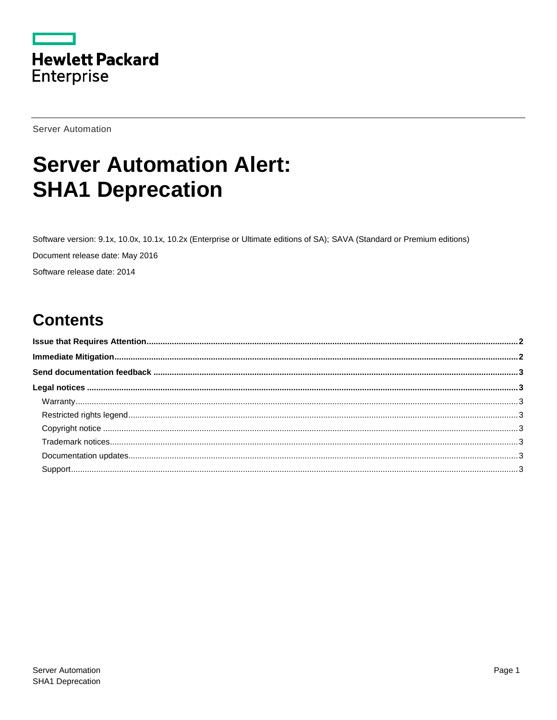

**Server Automation** 

# **Server Automation Alert: SHA1 Deprecation**

Software version: 9.1x, 10.0x, 10.1x, 10.2x (Enterprise or Ultimate editions of SA); SAVA (Standard or Premium editions) Document release date: May 2016 Software release date: 2014

## **Contents**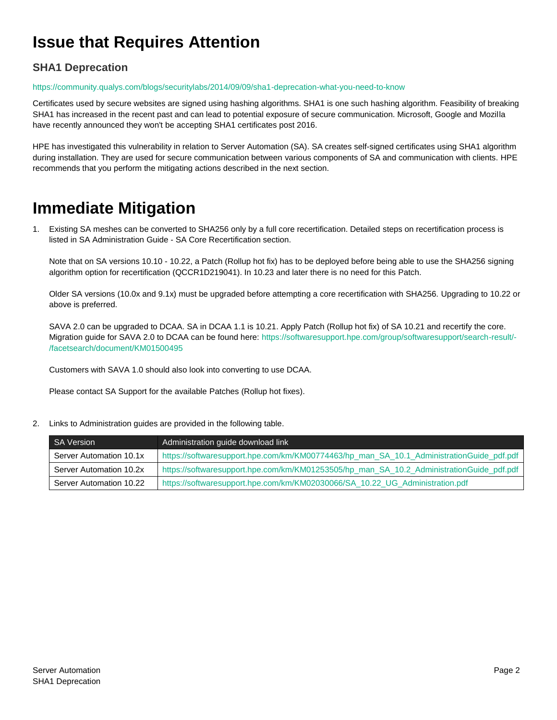## <span id="page-1-0"></span>**Issue that Requires Attention**

### **SHA1 Deprecation**

#### <https://community.qualys.com/blogs/securitylabs/2014/09/09/sha1-deprecation-what-you-need-to-know>

Certificates used by secure websites are signed using hashing algorithms. SHA1 is one such hashing algorithm. Feasibility of breaking SHA1 has increased in the recent past and can lead to potential exposure of secure communication. Microsoft, Google and Mozilla have recently announced they won't be accepting SHA1 certificates post 2016.

HPE has investigated this vulnerability in relation to Server Automation (SA). SA creates self-signed certificates using SHA1 algorithm during installation. They are used for secure communication between various components of SA and communication with clients. HPE recommends that you perform the mitigating actions described in the next section.

### <span id="page-1-1"></span>**Immediate Mitigation**

1. Existing SA meshes can be converted to SHA256 only by a full core recertification. Detailed steps on recertification process is listed in SA Administration Guide - SA Core Recertification section.

Note that on SA versions 10.10 - 10.22, a Patch (Rollup hot fix) has to be deployed before being able to use the SHA256 signing algorithm option for recertification (QCCR1D219041). In 10.23 and later there is no need for this Patch.

Older SA versions (10.0x and 9.1x) must be upgraded before attempting a core recertification with SHA256. Upgrading to 10.22 or above is preferred.

SAVA 2.0 can be upgraded to DCAA. SA in DCAA 1.1 is 10.21. Apply Patch (Rollup hot fix) of SA 10.21 and recertify the core. Migration guide for SAVA 2.0 to DCAA can be found here: [https://softwaresupport.hpe.com/group/softwaresupport/search-result/-](https://softwaresupport.hpe.com/group/softwaresupport/search-result/-/facetsearch/document/KM01500495) [/facetsearch/document/KM01500495](https://softwaresupport.hpe.com/group/softwaresupport/search-result/-/facetsearch/document/KM01500495)

Customers with SAVA 1.0 should also look into converting to use DCAA.

Please contact SA Support for the available Patches (Rollup hot fixes).

2. Links to Administration guides are provided in the following table.

| <b>SA Version</b>       | Administration guide download link                                                       |
|-------------------------|------------------------------------------------------------------------------------------|
| Server Automation 10.1x | https://softwaresupport.hpe.com/km/KM00774463/hp_man_SA_10.1_AdministrationGuide_pdf.pdf |
| Server Automation 10.2x | https://softwaresupport.hpe.com/km/KM01253505/hp_man_SA_10.2_AdministrationGuide_pdf.pdf |
| Server Automation 10.22 | https://softwaresupport.hpe.com/km/KM02030066/SA_10.22_UG_Administration.pdf             |